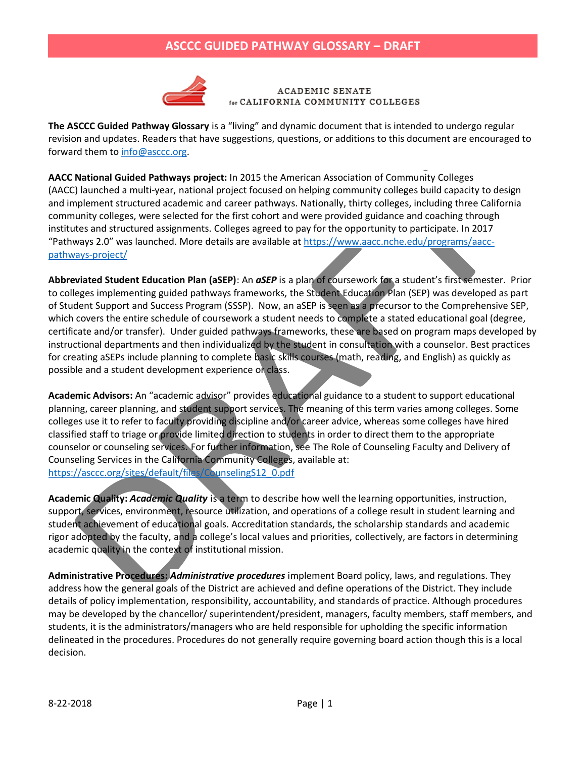

ACADEMIC SENATE CALIFORNIA COMMUNITY COLLEGES

**The ASCCC Guided Pathway Glossary** is a "living" and dynamic document that is intended to undergo regular revision and updates. Readers that have suggestions, questions, or additions to this document are encouraged to forward them to [info@asccc.org.](mailto:info@asccc.org)

**AACC National Guided Pathways project:** In 2015 the American Association of Community Colleges (AACC) launched a multi-year, national project focused on helping community colleges build capacity to design and implement structured academic and career pathways. Nationally, thirty colleges, including three California community colleges, were selected for the first cohort and were provided guidance and coaching through institutes and structured assignments. Colleges agreed to pay for the opportunity to participate. In 2017 "Pathways 2.0" was launched. More details are available at [https://www.aacc.nche.edu/programs/aacc](https://www.aacc.nche.edu/programs/aacc-pathways-project/)[pathways-project/](https://www.aacc.nche.edu/programs/aacc-pathways-project/)

**Abbreviated Student Education Plan (aSEP)**: An *aSEP* is a plan of coursework for a student's first semester. Prior to colleges implementing guided pathways frameworks, the Student Education Plan (SEP) was developed as part of Student Support and Success Program (SSSP). Now, an aSEP is seen as a precursor to the Comprehensive SEP, which covers the entire schedule of coursework a student needs to complete a stated educational goal (degree, certificate and/or transfer). Under guided pathways frameworks, these are based on program maps developed by instructional departments and then individualized by the student in consultation with a counselor. Best practices for creating aSEPs include planning to complete basic skills courses (math, reading, and English) as quickly as possible and a student development experience or class.

**Academic Advisors:** An "academic advisor" provides educational guidance to a student to support educational planning, career planning, and student support services. The meaning of this term varies among colleges. Some colleges use it to refer to faculty providing discipline and/or career advice, whereas some colleges have hired classified staff to triage or provide limited direction to students in order to direct them to the appropriate counselor or counseling services. For further information, see The Role of Counseling Faculty and Delivery of Counseling Services in the California Community Colleges, available at: [https://asccc.org/sites/default/files/CounselingS12\\_0.pdf](https://asccc.org/sites/default/files/CounselingS12_0.pdf)

**Academic Quality:** *Academic Quality* is a term to describe how well the learning opportunities, instruction, support, services, environment, resource utilization, and operations of a college result in student learning and student achievement of educational goals. Accreditation standards, the scholarship standards and academic rigor adopted by the faculty, and a college's local values and priorities, collectively, are factors in determining academic quality in the context of institutional mission.

**Administrative Procedures:** *Administrative procedures* implement Board policy, laws, and regulations. They address how the general goals of the District are achieved and define operations of the District. They include details of policy implementation, responsibility, accountability, and standards of practice. Although procedures may be developed by the chancellor/ superintendent/president, managers, faculty members, staff members, and students, it is the administrators/managers who are held responsible for upholding the specific information delineated in the procedures. Procedures do not generally require governing board action though this is a local decision.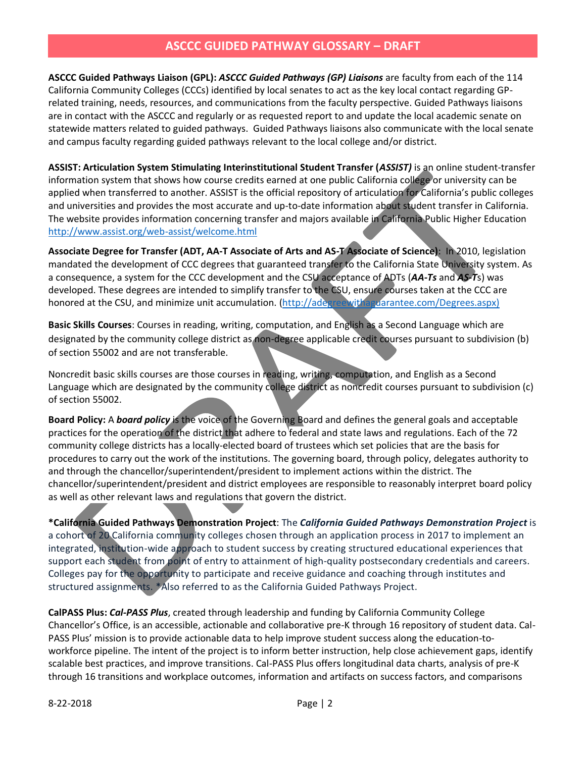**ASCCC Guided Pathways Liaison (GPL):** *ASCCC Guided Pathways (GP) Liaisons* are faculty from each of the 114 California Community Colleges (CCCs) identified by local senates to act as the key local contact regarding GPrelated training, needs, resources, and communications from the faculty perspective. Guided Pathways liaisons are in contact with the ASCCC and regularly or as requested report to and update the local academic senate on statewide matters related to guided pathways. Guided Pathways liaisons also communicate with the local senate and campus faculty regarding guided pathways relevant to the local college and/or district.

**ASSIST: Articulation System Stimulating Interinstitutional Student Transfer (***ASSIST)* is an online student-transfer information system that shows how course credits earned at one public California college or university can be applied when transferred to another. ASSIST is the official repository of articulation for California's public colleges and universities and provides the most accurate and up-to-date information about student transfer in California. The website provides information concerning transfer and majors available in California Public Higher Education <http://www.assist.org/web-assist/welcome.html>

**Associate Degree for Transfer (ADT, AA-T Associate of Arts and AS-T Associate of Science)**: In 2010, legislation mandated the development of CCC degrees that guaranteed transfer to the California State University system. As a consequence, a system for the CCC development and the CSU acceptance of ADTs (*AA-Ts* and *AS-T*s) was developed. These degrees are intended to simplify transfer to the CSU, ensure courses taken at the CCC are honored at the CSU, and minimize unit accumulation. [\(http://adegreewithaguarantee.com/Degrees.aspx\)](http://adegreewithaguarantee.com/Degrees.aspx)

**Basic Skills Courses**: Courses in reading, writing, computation, and English as a Second Language which are designated by the community college district as non-degree applicable credit courses pursuant to subdivision (b) of section 55002 and are not transferable.

Noncredit basic skills courses are those courses in reading, writing, computation, and English as a Second Language which are designated by the community college district as noncredit courses pursuant to subdivision (c) of section 55002.

**Board Policy:** A *board policy* is the voice of the Governing Board and defines the general goals and acceptable practices for the operation of the district that adhere to federal and state laws and regulations. Each of the 72 community college districts has a locally-elected board of trustees which set policies that are the basis for procedures to carry out the work of the institutions. The governing board, through policy, delegates authority to and through the chancellor/superintendent/president to implement actions within the district. The chancellor/superintendent/president and district employees are responsible to reasonably interpret board policy as well as other relevant laws and regulations that govern the district.

**\*California Guided Pathways Demonstration Project**: The *California Guided Pathways Demonstration Project* is a cohort of 20 California community colleges chosen through an application process in 2017 to implement an integrated, institution-wide approach to student success by creating structured educational experiences that support each student from point of entry to attainment of high-quality postsecondary credentials and careers. Colleges pay for the opportunity to participate and receive guidance and coaching through institutes and structured assignments. \*Also referred to as the California Guided Pathways Project.

**CalPASS Plus:** *Cal-PASS Plus*, created through leadership and funding by California Community College Chancellor's Office, is an accessible, actionable and collaborative pre-K through 16 repository of student data. Cal-PASS Plus' mission is to provide actionable data to help improve student success along the education-toworkforce pipeline. The intent of the project is to inform better instruction, help close achievement gaps, identify scalable best practices, and improve transitions. Cal-PASS Plus offers longitudinal data charts, analysis of pre-K through 16 transitions and workplace outcomes, information and artifacts on success factors, and comparisons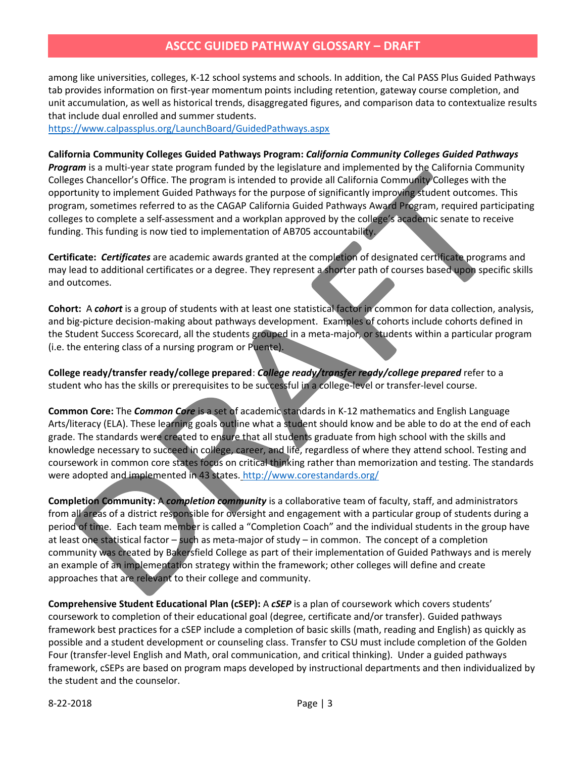among like universities, colleges, K-12 school systems and schools. In addition, the Cal PASS Plus Guided Pathways tab provides information on first-year momentum points including retention, gateway course completion, and unit accumulation, as well as historical trends, disaggregated figures, and comparison data to contextualize results that include dual enrolled and summer students.

<https://www.calpassplus.org/LaunchBoard/GuidedPathways.aspx>

**California Community Colleges Guided Pathways Program:** *California Community Colleges Guided Pathways Program* is a multi-year state program funded by the legislature and implemented by the California Community Colleges Chancellor's Office. The program is intended to provide all California Community Colleges with the opportunity to implement Guided Pathways for the purpose of significantly improving student outcomes. This program, sometimes referred to as the CAGAP California Guided Pathways Award Program, required participating colleges to complete a self-assessment and a workplan approved by the college's academic senate to receive funding. This funding is now tied to implementation of AB705 accountability.

**Certificate:** *Certificates* are academic awards granted at the completion of designated certificate programs and may lead to additional certificates or a degree. They represent a shorter path of courses based upon specific skills and outcomes.

**Cohort:** A *cohort* is a group of students with at least one statistical factor in common for data collection, analysis, and big-picture decision-making about pathways development. Examples of cohorts include cohorts defined in the Student Success Scorecard, all the students grouped in a meta-major, or students within a particular program (i.e. the entering class of a nursing program or Puente).

**College ready/transfer ready/college prepared**: *College ready/transfer ready/college prepared* refer to a student who has the skills or prerequisites to be successful in a college-level or transfer-level course.

**Common Core:** The *Common Core* is a set of academic standards in K-12 mathematics and English Language Arts/literacy (ELA). These learning goals outline what a student should know and be able to do at the end of each grade. The standards were created to ensure that all students graduate from high school with the skills and knowledge necessary to succeed in college, career, and life, regardless of where they attend school. Testing and coursework in common core states focus on critical thinking rather than memorization and testing. The standards were adopted and implemented in 43 states. <http://www.corestandards.org/>

**Completion Community:** A *completion community* is a collaborative team of faculty, staff, and administrators from all areas of a district responsible for oversight and engagement with a particular group of students during a period of time. Each team member is called a "Completion Coach" and the individual students in the group have at least one statistical factor – such as meta-major of study – in common. The concept of a completion community was created by Bakersfield College as part of their implementation of Guided Pathways and is merely an example of an implementation strategy within the framework; other colleges will define and create approaches that are relevant to their college and community.

**Comprehensive Student Educational Plan (cSEP):** A *cSEP* is a plan of coursework which covers students' coursework to completion of their educational goal (degree, certificate and/or transfer). Guided pathways framework best practices for a cSEP include a completion of basic skills (math, reading and English) as quickly as possible and a student development or counseling class. Transfer to CSU must include completion of the Golden Four (transfer-level English and Math, oral communication, and critical thinking). Under a guided pathways framework, cSEPs are based on program maps developed by instructional departments and then individualized by the student and the counselor.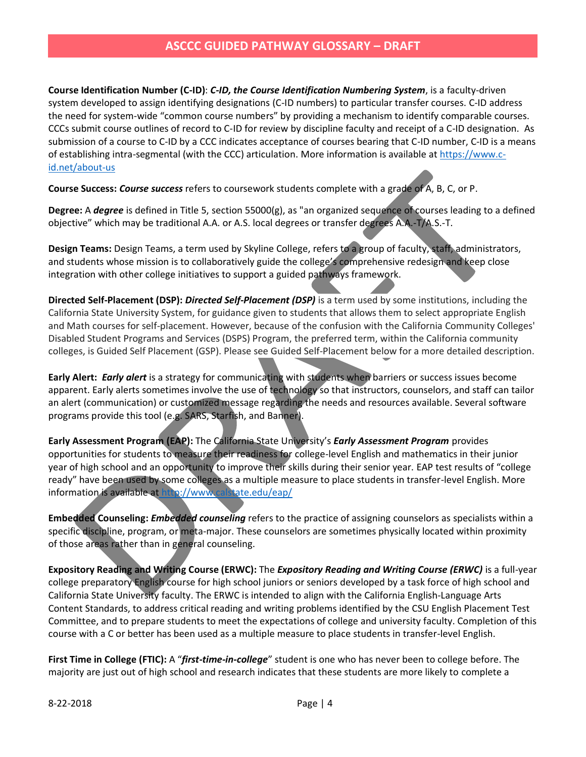**Course Identification Number (C-ID)**: *C-ID, the Course Identification Numbering System*, is a faculty-driven system developed to assign identifying designations (C-ID numbers) to particular transfer courses. C-ID address the need for system-wide "common course numbers" by providing a mechanism to identify comparable courses. CCCs submit course outlines of record to C-ID for review by discipline faculty and receipt of a C-ID designation. As submission of a course to C-ID by a CCC indicates acceptance of courses bearing that C-ID number, C-ID is a means of establishing intra-segmental (with the CCC) articulation. More information is available a[t https://www.c](https://www.c-id.net/about-us)[id.net/about-us](https://www.c-id.net/about-us)

**Course Success:** *Course success* refers to coursework students complete with a grade of A, B, C, or P.

**Degree:** A *degree* is defined in Title 5, section 55000(g), as "an organized sequence of courses leading to a defined objective" which may be traditional A.A. or A.S. local degrees or transfer degrees A.A.-T/A.S.-T.

**Design Teams:** Design Teams, a term used by Skyline College, refers to a group of faculty, staff, administrators, and students whose mission is to collaboratively guide the college's comprehensive redesign and keep close integration with other college initiatives to support a guided pathways framework.

**Directed Self-Placement (DSP):** *Directed Self-Placement (DSP)* is a term used by some institutions, including the California State University System, for guidance given to students that allows them to select appropriate English and Math courses for self-placement. However, because of the confusion with the California Community Colleges' Disabled Student Programs and Services (DSPS) Program, the preferred term, within the California community colleges, is Guided Self Placement (GSP). Please see Guided Self-Placement below for a more detailed description.

**Early Alert:** *Early alert* is a strategy for communicating with students when barriers or success issues become apparent. Early alerts sometimes involve the use of technology so that instructors, counselors, and staff can tailor an alert (communication) or customized message regarding the needs and resources available. Several software programs provide this tool (e.g. SARS, Starfish, and Banner).

**Early Assessment Program (EAP):** The California State University's *Early Assessment Program* provides opportunities for students to measure their readiness for college-level English and mathematics in their junior year of high school and an opportunity to improve their skills during their senior year. EAP test results of "college ready" have been used by some colleges as a multiple measure to place students in transfer-level English. More information is available at <http://www.calstate.edu/eap/>

**Embedded Counseling:** *Embedded counseling* refers to the practice of assigning counselors as specialists within a specific discipline, program, or meta-major. These counselors are sometimes physically located within proximity of those areas rather than in general counseling.

**Expository Reading and Writing Course (ERWC):** The *Expository Reading and Writing Course (ERWC)* is a full-year college preparatory English course for high school juniors or seniors developed by a task force of high school and California State University faculty. The ERWC is intended to align with the California English-Language Arts Content Standards, to address critical reading and writing problems identified by the CSU English Placement Test Committee, and to prepare students to meet the expectations of college and university faculty. Completion of this course with a C or better has been used as a multiple measure to place students in transfer-level English.

**First Time in College (FTIC):** A "*first-time-in-college*" student is one who has never been to college before. The majority are just out of high school and research indicates that these students are more likely to complete a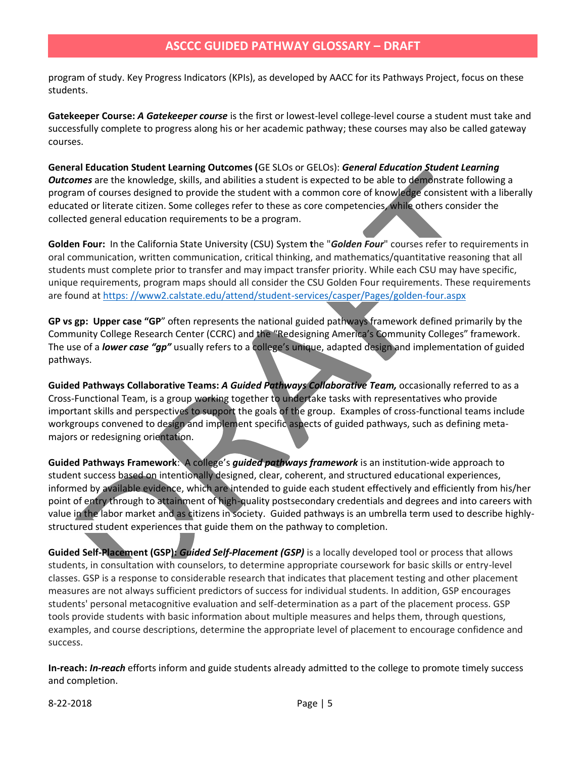program of study. Key Progress Indicators (KPIs), as developed by AACC for its Pathways Project, focus on these students.

**Gatekeeper Course:** *A Gatekeeper course* is the first or lowest-level college-level course a student must take and successfully complete to progress along his or her academic pathway; these courses may also be called gateway courses.

**General Education Student Learning Outcomes (**GE SLOs or GELOs): *General Education Student Learning Outcomes* are the knowledge, skills, and abilities a student is expected to be able to demonstrate following a program of courses designed to provide the student with a common core of knowledge consistent with a liberally educated or literate citizen. Some colleges refer to these as core competencies, while others consider the collected general education requirements to be a program.

**Golden Four:** In the California State University (CSU) System **t**he "*Golden Four*" courses refer to requirements in oral communication, written communication, critical thinking, and mathematics/quantitative reasoning that all students must complete prior to transfer and may impact transfer priority. While each CSU may have specific, unique requirements, program maps should all consider the CSU Golden Four requirements. These requirements are found at [https: //www2.calstate.edu/attend/student-services/casper/Pages/golden-four.aspx](https://www2.calstate.edu/attend/student-services/casper/Pages/golden-four.aspx)

**GP vs gp: Upper case "GP**" often represents the national guided pathways framework defined primarily by the Community College Research Center (CCRC) and the "Redesigning America's Community Colleges" framework. The use of a *lower case "gp"* usually refers to a college's unique, adapted design and implementation of guided pathways.

**Guided Pathways Collaborative Teams:** *A Guided Pathways Collaborative Team,* occasionally referred to as a Cross-Functional Team, is a group working together to undertake tasks with representatives who provide important skills and perspectives to support the goals of the group. Examples of cross-functional teams include workgroups convened to design and implement specific aspects of guided pathways, such as defining metamajors or redesigning orientation.

**Guided Pathways Framework**: A college's *guided pathways framework* is an institution-wide approach to student success based on intentionally designed, clear, coherent, and structured educational experiences, informed by available evidence, which are intended to guide each student effectively and efficiently from his/her point of entry through to attainment of high-quality postsecondary credentials and degrees and into careers with value in the labor market and as citizens in society. Guided pathways is an umbrella term used to describe highlystructured student experiences that guide them on the pathway to completion.

**Guided Self-Placement (GSP):** *Guided Self-Placement (GSP)* is a locally developed tool or process that allows students, in consultation with counselors, to determine appropriate coursework for basic skills or entry-level classes. GSP is a response to considerable research that indicates that placement testing and other placement measures are not always sufficient predictors of success for individual students. In addition, GSP encourages students' personal metacognitive evaluation and self-determination as a part of the placement process. GSP tools provide students with basic information about multiple measures and helps them, through questions, examples, and course descriptions, determine the appropriate level of placement to encourage confidence and success.

**In-reach:** *In-reach* efforts inform and guide students already admitted to the college to promote timely success and completion.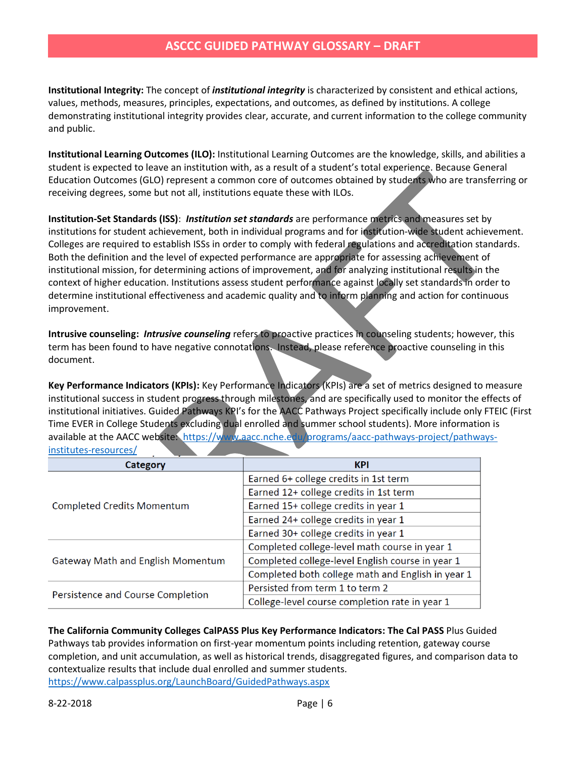**Institutional Integrity:** The concept of *institutional integrity* is characterized by consistent and ethical actions, values, methods, measures, principles, expectations, and outcomes, as defined by institutions. A college demonstrating institutional integrity provides clear, accurate, and current information to the college community and public.

**Institutional Learning Outcomes (ILO):** Institutional Learning Outcomes are the knowledge, skills, and abilities a student is expected to leave an institution with, as a result of a student's total experience. Because General Education Outcomes (GLO) represent a common core of outcomes obtained by students who are transferring or receiving degrees, some but not all, institutions equate these with ILOs.

**Institution-Set Standards (ISS)**: *Institution set standards* are performance metrics and measures set by institutions for student achievement, both in individual programs and for institution-wide student achievement. Colleges are required to establish ISSs in order to comply with federal regulations and accreditation standards. Both the definition and the level of expected performance are appropriate for assessing achievement of institutional mission, for determining actions of improvement, and for analyzing institutional results in the context of higher education. Institutions assess student performance against locally set standards in order to determine institutional effectiveness and academic quality and to inform planning and action for continuous improvement.

**Intrusive counseling:** *Intrusive counseling* refers to proactive practices in counseling students; however, this term has been found to have negative connotations. Instead, please reference proactive counseling in this document.

**Key Performance Indicators (KPIs):** Key Performance Indicators (KPIs) are a set of metrics designed to measure institutional success in student progress through milestones, and are specifically used to monitor the effects of institutional initiatives. Guided Pathways KPI's for the AACC Pathways Project specifically include only FTEIC (First Time EVER in College Students excluding dual enrolled and summer school students). More information is available at the AACC website: [https://www.aacc.nche.edu/programs/aacc-pathways-project/pathways](https://www.aacc.nche.edu/programs/aacc-pathways-project/pathways-institutes-resources/)[institutes-resources/](https://www.aacc.nche.edu/programs/aacc-pathways-project/pathways-institutes-resources/)

| Category                                 | <b>KPI</b>                                        |
|------------------------------------------|---------------------------------------------------|
| <b>Completed Credits Momentum</b>        | Earned 6+ college credits in 1st term             |
|                                          | Earned 12+ college credits in 1st term            |
|                                          | Earned 15+ college credits in year 1              |
|                                          | Earned 24+ college credits in year 1              |
|                                          | Earned 30+ college credits in year 1              |
| <b>Gateway Math and English Momentum</b> | Completed college-level math course in year 1     |
|                                          | Completed college-level English course in year 1  |
|                                          | Completed both college math and English in year 1 |
| Persistence and Course Completion        | Persisted from term 1 to term 2                   |
|                                          | College-level course completion rate in year 1    |

**The California Community Colleges CalPASS Plus Key Performance Indicators: The Cal PASS** Plus Guided Pathways tab provides information on first-year momentum points including retention, gateway course completion, and unit accumulation, as well as historical trends, disaggregated figures, and comparison data to contextualize results that include dual enrolled and summer students. <https://www.calpassplus.org/LaunchBoard/GuidedPathways.aspx>

8-22-2018 Page | 6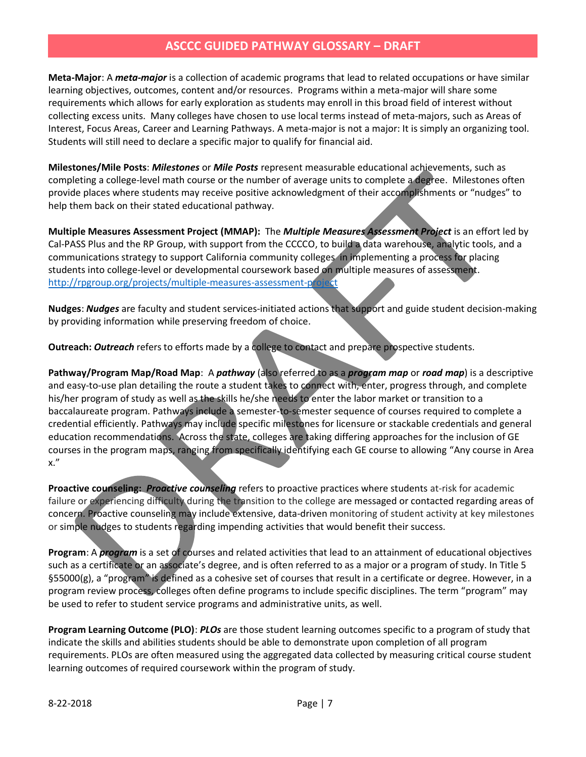**Meta-Major**: A *meta-major* is a collection of academic programs that lead to related occupations or have similar learning objectives, outcomes, content and/or resources. Programs within a meta-major will share some requirements which allows for early exploration as students may enroll in this broad field of interest without collecting excess units. Many colleges have chosen to use local terms instead of meta-majors, such as Areas of Interest, Focus Areas, Career and Learning Pathways. A meta-major is not a major: It is simply an organizing tool. Students will still need to declare a specific major to qualify for financial aid.

**Milestones/Mile Posts**: *Milestones* or *Mile Posts* represent measurable educational achievements, such as completing a college-level math course or the number of average units to complete a degree. Milestones often provide places where students may receive positive acknowledgment of their accomplishments or "nudges" to help them back on their stated educational pathway.

**Multiple Measures Assessment Project (MMAP):** The *Multiple Measures Assessment Project* is an effort led by Cal-PASS Plus and the RP Group, with support from the CCCCO, to build a data warehouse, analytic tools, and a communications strategy to support California community colleges in implementing a process for placing students into college-level or developmental coursework based on multiple measures of assessment. <http://rpgroup.org/projects/multiple-measures-assessment-project>

**Nudges**: *Nudges* are faculty and student services-initiated actions that support and guide student decision-making by providing information while preserving freedom of choice.

**Outreach:** *Outreach* refers to efforts made by a college to contact and prepare prospective students.

**Pathway/Program Map/Road Map**: A *pathway* (also referred to as a *program map* or *road map*) is a descriptive and easy-to-use plan detailing the route a student takes to connect with, enter, progress through, and complete his/her program of study as well as the skills he/she needs to enter the labor market or transition to a baccalaureate program. Pathways include a semester-to-semester sequence of courses required to complete a credential efficiently. Pathways may include specific milestones for licensure or stackable credentials and general education recommendations. Across the state, colleges are taking differing approaches for the inclusion of GE courses in the program maps, ranging from specifically identifying each GE course to allowing "Any course in Area x."

**Proactive counseling:** *Proactive counseling* refers to proactive practices where students at-risk for academic failure or experiencing difficulty during the transition to the college are messaged or contacted regarding areas of concern. Proactive counseling may include extensive, data-driven monitoring of student activity at key milestones or simple nudges to students regarding impending activities that would benefit their success.

**Program**: A *program* is a set of courses and related activities that lead to an attainment of educational objectives such as a certificate or an associate's degree, and is often referred to as a major or a program of study. In Title 5 §55000(g), a "program" is defined as a cohesive set of courses that result in a certificate or degree. However, in a program review process, colleges often define programs to include specific disciplines. The term "program" may be used to refer to student service programs and administrative units, as well.

**Program Learning Outcome (PLO)**: *PLOs* are those student learning outcomes specific to a program of study that indicate the skills and abilities students should be able to demonstrate upon completion of all program requirements. PLOs are often measured using the aggregated data collected by measuring critical course student learning outcomes of required coursework within the program of study.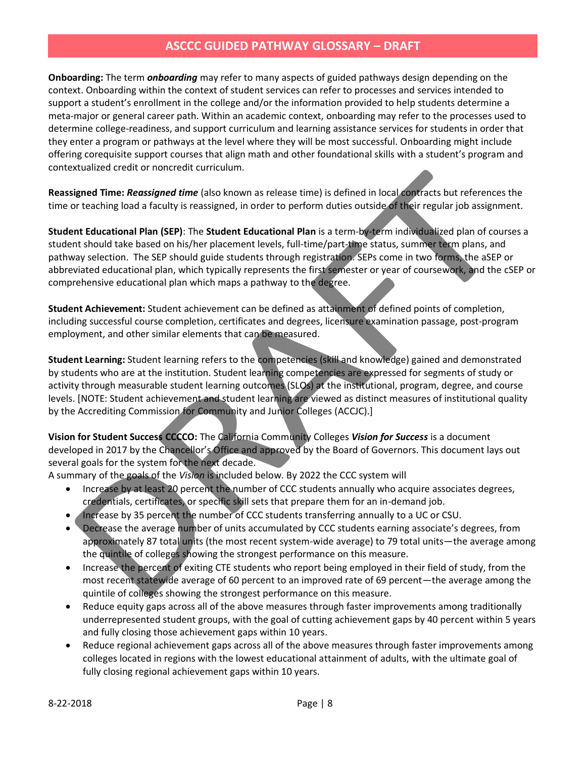**Onboarding:** The term *onboarding* may refer to many aspects of guided pathways design depending on the context. Onboarding within the context of student services can refer to processes and services intended to support a student's enrollment in the college and/or the information provided to help students determine a meta-major or general career path. Within an academic context, onboarding may refer to the processes used to determine college-readiness, and support curriculum and learning assistance services for students in order that they enter a program or pathways at the level where they will be most successful. Onboarding might include offering corequisite support courses that align math and other foundational skills with a student's program and contextualized credit or noncredit curriculum.

**Reassigned Time:** *Reassigned time* (also known as release time) is defined in local contracts but references the time or teaching load a faculty is reassigned, in order to perform duties outside of their regular job assignment.

**Student Educational Plan (SEP)**: The **Student Educational Plan** is a term-by-term individualized plan of courses a student should take based on his/her placement levels, full-time/part-time status, summer term plans, and pathway selection. The SEP should guide students through registration. SEPs come in two forms, the aSEP or abbreviated educational plan, which typically represents the first semester or year of coursework, and the cSEP or comprehensive educational plan which maps a pathway to the degree.

**Student Achievement:** Student achievement can be defined as attainment of defined points of completion, including successful course completion, certificates and degrees, licensure examination passage, post-program employment, and other similar elements that can be measured.

**Student Learning:** Student learning refers to the competencies (skill and knowledge) gained and demonstrated by students who are at the institution. Student learning competencies are expressed for segments of study or activity through measurable student learning outcomes (SLOs) at the institutional, program, degree, and course levels. [NOTE: Student achievement and student learning are viewed as distinct measures of institutional quality by the Accrediting Commission for Community and Junior Colleges (ACCJC).]

**Vision for Student Success CCCCO:** The California Community Colleges *Vision for Success* is a document developed in 2017 by the Chancellor's Office and approved by the Board of Governors. This document lays out several goals for the system for the next decade.

A summary of the goals of the *Vision* is included below. By 2022 the CCC system will

- Increase by at least 20 percent the number of CCC students annually who acquire associates degrees, credentials, certificates, or specific skill sets that prepare them for an in-demand job.
- Increase by 35 percent the number of CCC students transferring annually to a UC or CSU.
- Decrease the average number of units accumulated by CCC students earning associate's degrees, from approximately 87 total units (the most recent system-wide average) to 79 total units—the average among the quintile of colleges showing the strongest performance on this measure.
- Increase the percent of exiting CTE students who report being employed in their field of study, from the most recent statewide average of 60 percent to an improved rate of 69 percent—the average among the quintile of colleges showing the strongest performance on this measure.
- Reduce equity gaps across all of the above measures through faster improvements among traditionally underrepresented student groups, with the goal of cutting achievement gaps by 40 percent within 5 years and fully closing those achievement gaps within 10 years.
- Reduce regional achievement gaps across all of the above measures through faster improvements among colleges located in regions with the lowest educational attainment of adults, with the ultimate goal of fully closing regional achievement gaps within 10 years.